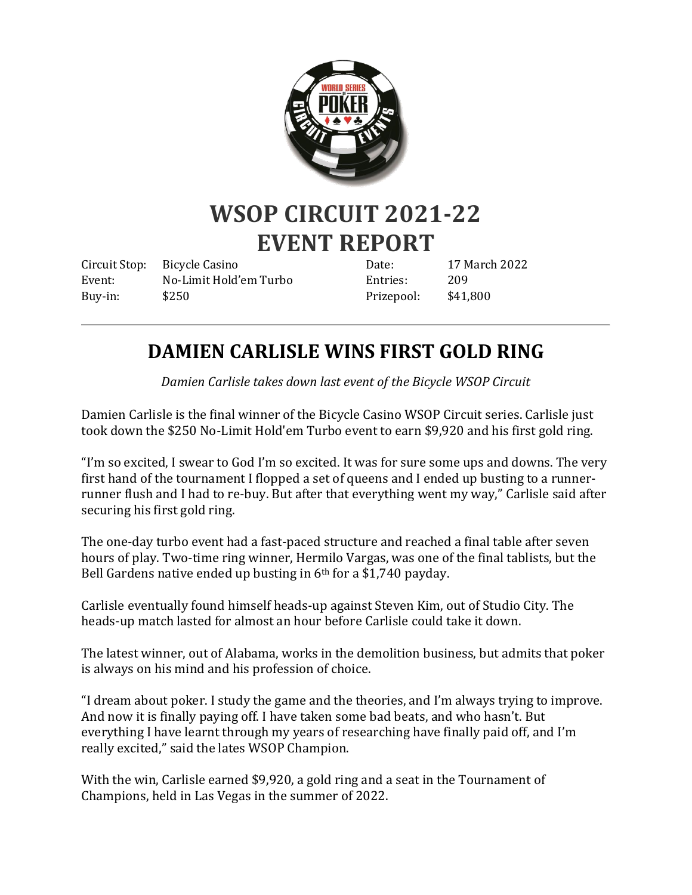

# **WSOP CIRCUIT 2021-22 EVENT REPORT**

Circuit Stop: Bicycle Casino Event: No-Limit Hold'em Turbo Buy-in: \$250

Date: 17 March 2022 Entries: 209 Prizepool: \$41,800

## **DAMIEN CARLISLE WINS FIRST GOLD RING**

*Damien Carlisle takes down last event of the Bicycle WSOP Circuit*

Damien Carlisle is the final winner of the Bicycle Casino WSOP Circuit series. Carlisle just took down the \$250 No-Limit Hold'em Turbo event to earn \$9,920 and his first gold ring.

"I'm so excited, I swear to God I'm so excited. It was for sure some ups and downs. The very first hand of the tournament I flopped a set of queens and I ended up busting to a runnerrunner flush and I had to re-buy. But after that everything went my way," Carlisle said after securing his first gold ring.

The one-day turbo event had a fast-paced structure and reached a final table after seven hours of play. Two-time ring winner, Hermilo Vargas, was one of the final tablists, but the Bell Gardens native ended up busting in 6<sup>th</sup> for a \$1,740 payday.

Carlisle eventually found himself heads-up against Steven Kim, out of Studio City. The heads-up match lasted for almost an hour before Carlisle could take it down.

The latest winner, out of Alabama, works in the demolition business, but admits that poker is always on his mind and his profession of choice.

"I dream about poker. I study the game and the theories, and I'm always trying to improve. And now it is finally paying off. I have taken some bad beats, and who hasn't. But everything I have learnt through my years of researching have finally paid off, and I'm really excited," said the lates WSOP Champion.

With the win, Carlisle earned \$9,920, a gold ring and a seat in the Tournament of Champions, held in Las Vegas in the summer of 2022.